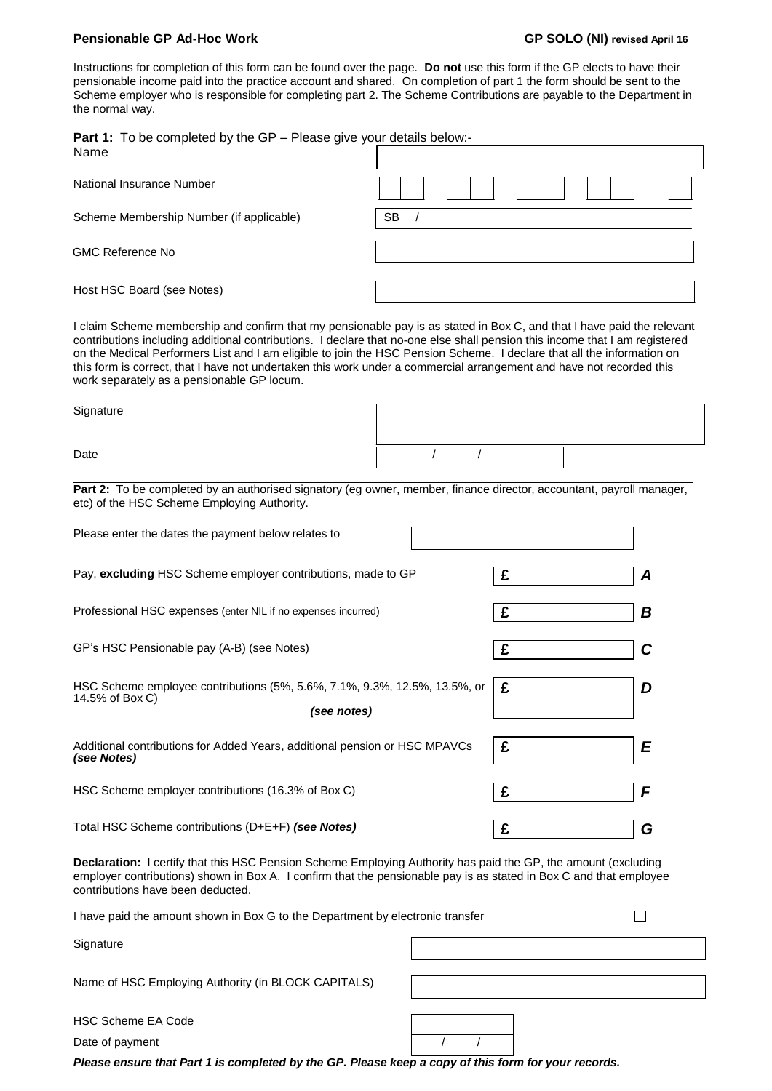#### **Pensionable GP Ad-Hoc Work GP SOLO (NI) revised April 16**

 $\Box$ 

Instructions for completion of this form can be found over the page. **Do not** use this form if the GP elects to have their pensionable income paid into the practice account and shared. On completion of part 1 the form should be sent to the Scheme employer who is responsible for completing part 2. The Scheme Contributions are payable to the Department in the normal way.

**Part 1:** To be completed by the GP – Please give your details below:-

| Name                                     |           |
|------------------------------------------|-----------|
| National Insurance Number                |           |
| Scheme Membership Number (if applicable) | <b>SB</b> |
| <b>GMC Reference No</b>                  |           |
| Host HSC Board (see Notes)               |           |

I claim Scheme membership and confirm that my pensionable pay is as stated in Box C, and that I have paid the relevant contributions including additional contributions. I declare that no-one else shall pension this income that I am registered on the Medical Performers List and I am eligible to join the HSC Pension Scheme. I declare that all the information on this form is correct, that I have not undertaken this work under a commercial arrangement and have not recorded this work separately as a pensionable GP locum.

**Signature** 

Date  $\begin{array}{ccccccc} & & & & & & & \end{array}$ 

Part 2: To be completed by an authorised signatory (eg owner, member, finance director, accountant, payroll manager, etc) of the HSC Scheme Employing Authority.

| Please enter the dates the payment below relates to                                                         |   |   |
|-------------------------------------------------------------------------------------------------------------|---|---|
| Pay, excluding HSC Scheme employer contributions, made to GP                                                | £ | A |
| Professional HSC expenses (enter NIL if no expenses incurred)                                               | £ | В |
| GP's HSC Pensionable pay (A-B) (see Notes)                                                                  | £ | C |
| HSC Scheme employee contributions (5%, 5.6%, 7.1%, 9.3%, 12.5%, 13.5%, or<br>14.5% of Box C)<br>(see notes) | £ | D |
| Additional contributions for Added Years, additional pension or HSC MPAVCs<br>(see Notes)                   | £ | E |
| HSC Scheme employer contributions (16.3% of Box C)                                                          | £ | F |
| Total HSC Scheme contributions (D+E+F) (see Notes)                                                          | £ | G |

**Declaration:** I certify that this HSC Pension Scheme Employing Authority has paid the GP, the amount (excluding employer contributions) shown in Box A. I confirm that the pensionable pay is as stated in Box C and that employee contributions have been deducted.

I have paid the amount shown in Box G to the Department by electronic transfer

**Signature** 

Name of HSC Employing Authority (in BLOCK CAPITALS)

HSC Scheme EA Code

Date of payment and the contract of payment and the contract of the contract of the contract of the contract of the contract of the contract of the contract of the contract of the contract of the contract of the contract o

*Please ensure that Part 1 is completed by the GP. Please keep a copy of this form for your records.*